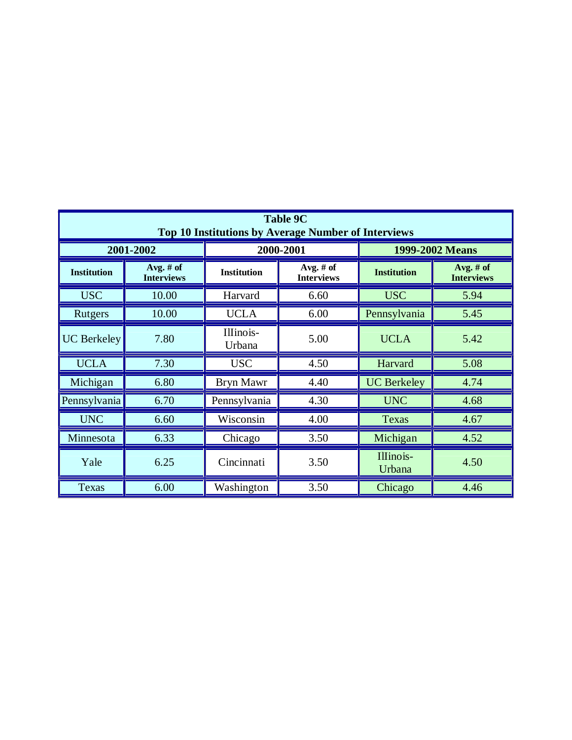| <b>Table 9C</b><br><b>Top 10 Institutions by Average Number of Interviews</b> |                                  |                     |                                  |                     |                                  |  |  |
|-------------------------------------------------------------------------------|----------------------------------|---------------------|----------------------------------|---------------------|----------------------------------|--|--|
| 2001-2002                                                                     |                                  | 2000-2001           |                                  | 1999-2002 Means     |                                  |  |  |
| <b>Institution</b>                                                            | Avg. # $of$<br><b>Interviews</b> | <b>Institution</b>  | Avg. # $of$<br><b>Interviews</b> | <b>Institution</b>  | Avg. $#$ of<br><b>Interviews</b> |  |  |
| <b>USC</b>                                                                    | 10.00                            | Harvard             | 6.60                             | <b>USC</b>          | 5.94                             |  |  |
| Rutgers                                                                       | 10.00                            | <b>UCLA</b>         | 6.00                             | Pennsylvania        | 5.45                             |  |  |
| <b>UC</b> Berkeley                                                            | 7.80                             | Illinois-<br>Urbana | 5.00                             |                     | 5.42                             |  |  |
| <b>UCLA</b>                                                                   | 7.30                             | <b>USC</b>          | 4.50                             | Harvard             | 5.08                             |  |  |
| Michigan                                                                      | 6.80                             | <b>Bryn Mawr</b>    | 4.40                             | <b>UC</b> Berkeley  | 4.74                             |  |  |
| Pennsylvania                                                                  | 6.70                             | Pennsylvania        | 4.30                             | <b>UNC</b>          | 4.68                             |  |  |
| <b>UNC</b>                                                                    | 6.60                             | Wisconsin           | 4.00<br><b>Texas</b>             |                     | 4.67                             |  |  |
| Minnesota                                                                     | 6.33                             | Chicago             | 3.50                             | Michigan            | 4.52                             |  |  |
| Yale                                                                          | 6.25                             | Cincinnati          | 3.50                             | Illinois-<br>Urbana | 4.50                             |  |  |
| <b>Texas</b>                                                                  | 6.00                             | Washington          | 3.50                             | Chicago             | 4.46                             |  |  |